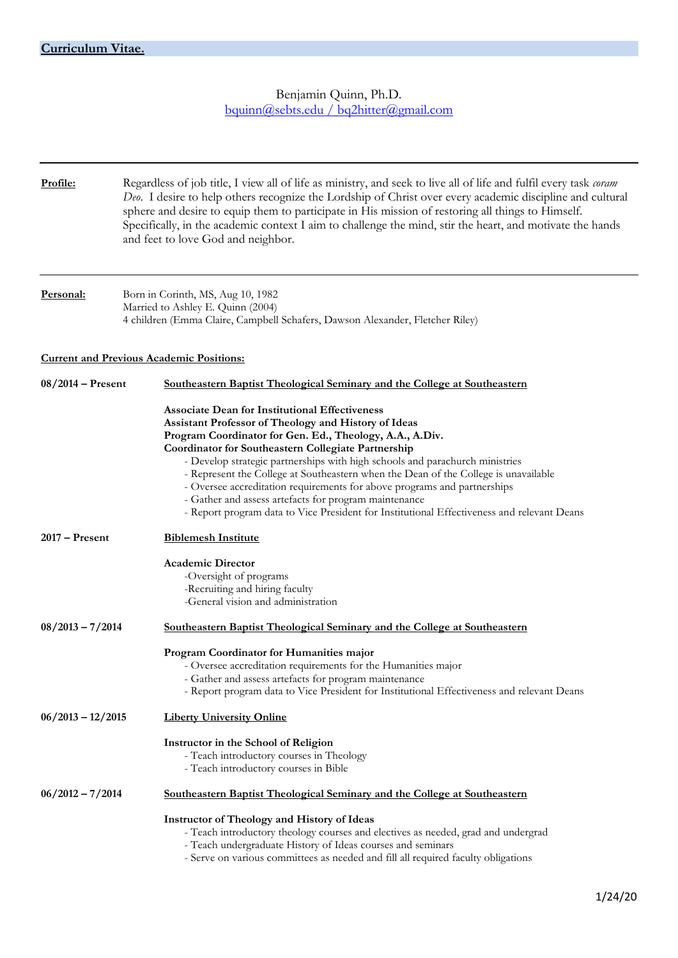Benjamin Quinn, Ph.D. [bquinn@sebts.edu /](mailto:bquinn@sebts.edu/) [bq2hitter@gmail.com](mailto:bq2hitter@gmail.com)

| Profile:            | Regardless of job title, I view all of life as ministry, and seek to live all of life and fulfil every task <i>coram</i><br>Deo. I desire to help others recognize the Lordship of Christ over every academic discipline and cultural<br>sphere and desire to equip them to participate in His mission of restoring all things to Himself.<br>Specifically, in the academic context I aim to challenge the mind, stir the heart, and motivate the hands<br>and feet to love God and neighbor.                                                                                                                                              |  |
|---------------------|--------------------------------------------------------------------------------------------------------------------------------------------------------------------------------------------------------------------------------------------------------------------------------------------------------------------------------------------------------------------------------------------------------------------------------------------------------------------------------------------------------------------------------------------------------------------------------------------------------------------------------------------|--|
| Personal:           | Born in Corinth, MS, Aug 10, 1982<br>Married to Ashley E. Quinn (2004)<br>4 children (Emma Claire, Campbell Schafers, Dawson Alexander, Fletcher Riley)                                                                                                                                                                                                                                                                                                                                                                                                                                                                                    |  |
|                     | <b>Current and Previous Academic Positions:</b>                                                                                                                                                                                                                                                                                                                                                                                                                                                                                                                                                                                            |  |
| $08/2014$ – Present | Southeastern Baptist Theological Seminary and the College at Southeastern                                                                                                                                                                                                                                                                                                                                                                                                                                                                                                                                                                  |  |
|                     | <b>Associate Dean for Institutional Effectiveness</b><br>Assistant Professor of Theology and History of Ideas<br>Program Coordinator for Gen. Ed., Theology, A.A., A.Div.<br>Coordinator for Southeastern Collegiate Partnership<br>- Develop strategic partnerships with high schools and parachurch ministries<br>- Represent the College at Southeastern when the Dean of the College is unavailable<br>- Oversee accreditation requirements for above programs and partnerships<br>- Gather and assess artefacts for program maintenance<br>- Report program data to Vice President for Institutional Effectiveness and relevant Deans |  |
| $2017 -$ Present    | <b>Biblemesh Institute</b>                                                                                                                                                                                                                                                                                                                                                                                                                                                                                                                                                                                                                 |  |
|                     | <b>Academic Director</b><br>-Oversight of programs<br>-Recruiting and hiring faculty<br>-General vision and administration                                                                                                                                                                                                                                                                                                                                                                                                                                                                                                                 |  |
| $08/2013 - 7/2014$  | Southeastern Baptist Theological Seminary and the College at Southeastern                                                                                                                                                                                                                                                                                                                                                                                                                                                                                                                                                                  |  |
|                     | Program Coordinator for Humanities major<br>- Oversee accreditation requirements for the Humanities major<br>- Gather and assess artefacts for program maintenance<br>- Report program data to Vice President for Institutional Effectiveness and relevant Deans                                                                                                                                                                                                                                                                                                                                                                           |  |
| $06/2013 - 12/2015$ | <b>Liberty University Online</b>                                                                                                                                                                                                                                                                                                                                                                                                                                                                                                                                                                                                           |  |
|                     | Instructor in the School of Religion<br>- Teach introductory courses in Theology<br>- Teach introductory courses in Bible                                                                                                                                                                                                                                                                                                                                                                                                                                                                                                                  |  |
| $06/2012 - 7/2014$  | Southeastern Baptist Theological Seminary and the College at Southeastern                                                                                                                                                                                                                                                                                                                                                                                                                                                                                                                                                                  |  |
|                     | <b>Instructor of Theology and History of Ideas</b><br>- Teach introductory theology courses and electives as needed, grad and undergrad<br>- Teach undergraduate History of Ideas courses and seminars<br>- Serve on various committees as needed and fill all required faculty obligations                                                                                                                                                                                                                                                                                                                                                |  |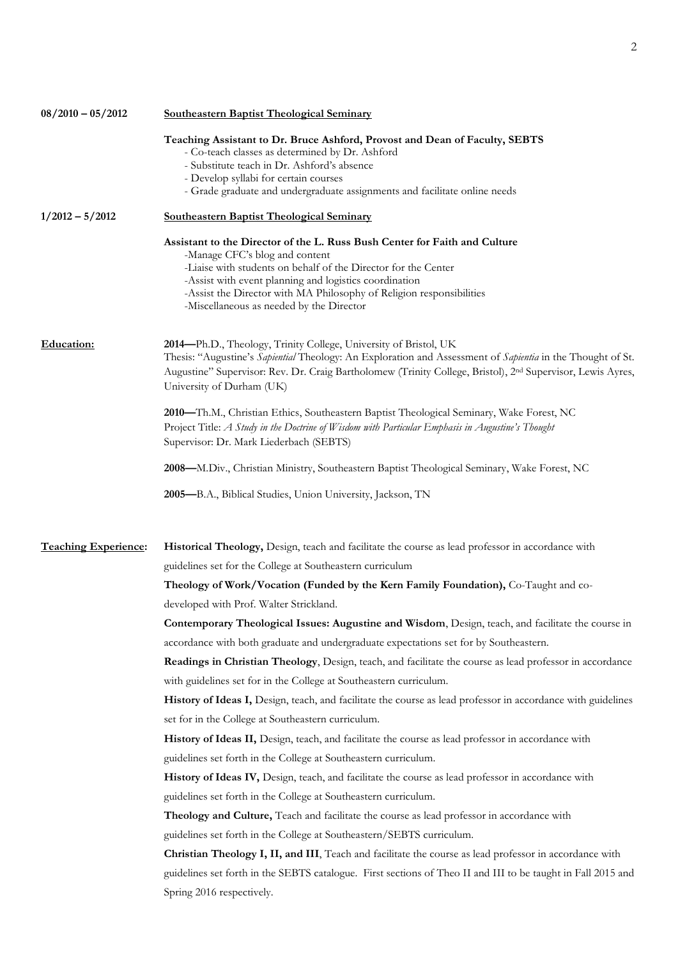| $08/2010 - 05/2012$         | <b>Southeastern Baptist Theological Seminary</b>                                                                                                    |
|-----------------------------|-----------------------------------------------------------------------------------------------------------------------------------------------------|
|                             | Teaching Assistant to Dr. Bruce Ashford, Provost and Dean of Faculty, SEBTS                                                                         |
|                             | - Co-teach classes as determined by Dr. Ashford                                                                                                     |
|                             | - Substitute teach in Dr. Ashford's absence<br>- Develop syllabi for certain courses                                                                |
|                             | - Grade graduate and undergraduate assignments and facilitate online needs                                                                          |
| $1/2012 - 5/2012$           | <b>Southeastern Baptist Theological Seminary</b>                                                                                                    |
|                             | Assistant to the Director of the L. Russ Bush Center for Faith and Culture<br>-Manage CFC's blog and content                                        |
|                             | -Liaise with students on behalf of the Director for the Center                                                                                      |
|                             | -Assist with event planning and logistics coordination                                                                                              |
|                             | -Assist the Director with MA Philosophy of Religion responsibilities<br>-Miscellaneous as needed by the Director                                    |
| Education:                  | 2014—Ph.D., Theology, Trinity College, University of Bristol, UK                                                                                    |
|                             | Thesis: "Augustine's Sapiential Theology: An Exploration and Assessment of Sapientia in the Thought of St.                                          |
|                             | Augustine" Supervisor: Rev. Dr. Craig Bartholomew (Trinity College, Bristol), 2 <sup>nd</sup> Supervisor, Lewis Ayres,<br>University of Durham (UK) |
|                             | 2010—Th.M., Christian Ethics, Southeastern Baptist Theological Seminary, Wake Forest, NC                                                            |
|                             | Project Title: A Study in the Doctrine of Wisdom with Particular Emphasis in Augustine's Thought                                                    |
|                             | Supervisor: Dr. Mark Liederbach (SEBTS)                                                                                                             |
|                             | 2008—M.Div., Christian Ministry, Southeastern Baptist Theological Seminary, Wake Forest, NC                                                         |
|                             | 2005-B.A., Biblical Studies, Union University, Jackson, TN                                                                                          |
|                             |                                                                                                                                                     |
| <b>Teaching Experience:</b> | Historical Theology, Design, teach and facilitate the course as lead professor in accordance with                                                   |
|                             | guidelines set for the College at Southeastern curriculum                                                                                           |
|                             | Theology of Work/Vocation (Funded by the Kern Family Foundation), Co-Taught and co-                                                                 |
|                             | developed with Prof. Walter Strickland.                                                                                                             |
|                             | Contemporary Theological Issues: Augustine and Wisdom, Design, teach, and facilitate the course in                                                  |
|                             | accordance with both graduate and undergraduate expectations set for by Southeastern.                                                               |
|                             | Readings in Christian Theology, Design, teach, and facilitate the course as lead professor in accordance                                            |
|                             | with guidelines set for in the College at Southeastern curriculum.                                                                                  |
|                             | History of Ideas I, Design, teach, and facilitate the course as lead professor in accordance with guidelines                                        |
|                             | set for in the College at Southeastern curriculum.                                                                                                  |
|                             | History of Ideas II, Design, teach, and facilitate the course as lead professor in accordance with                                                  |
|                             | guidelines set forth in the College at Southeastern curriculum.                                                                                     |
|                             | History of Ideas IV, Design, teach, and facilitate the course as lead professor in accordance with                                                  |
|                             | guidelines set forth in the College at Southeastern curriculum.                                                                                     |
|                             | Theology and Culture, Teach and facilitate the course as lead professor in accordance with                                                          |
|                             |                                                                                                                                                     |
|                             | guidelines set forth in the College at Southeastern/SEBTS curriculum.                                                                               |
|                             | Christian Theology I, II, and III, Teach and facilitate the course as lead professor in accordance with                                             |
|                             | guidelines set forth in the SEBTS catalogue. First sections of Theo II and III to be taught in Fall 2015 and                                        |
|                             | Spring 2016 respectively.                                                                                                                           |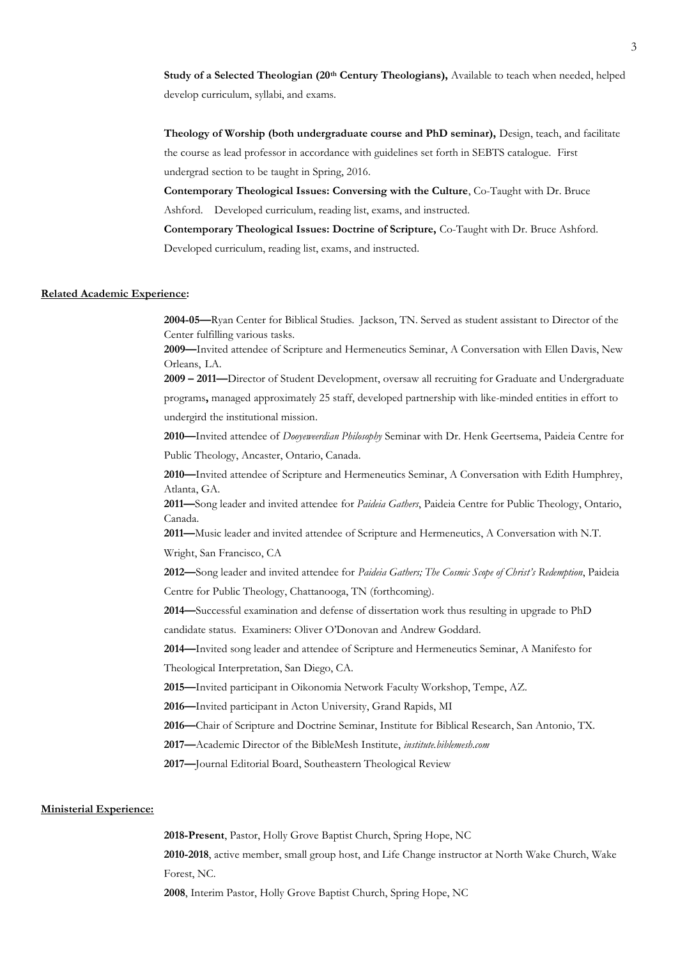**Study of a Selected Theologian (20th Century Theologians),** Available to teach when needed, helped develop curriculum, syllabi, and exams.

**Theology of Worship (both undergraduate course and PhD seminar),** Design, teach, and facilitate the course as lead professor in accordance with guidelines set forth in SEBTS catalogue. First undergrad section to be taught in Spring, 2016.

**Contemporary Theological Issues: Conversing with the Culture**, Co-Taught with Dr. Bruce Ashford. Developed curriculum, reading list, exams, and instructed.

 **Contemporary Theological Issues: Doctrine of Scripture,** Co-Taught with Dr. Bruce Ashford. Developed curriculum, reading list, exams, and instructed.

### **Related Academic Experience:**

**2004-05—**Ryan Center for Biblical Studies. Jackson, TN. Served as student assistant to Director of the Center fulfilling various tasks.

**2009—**Invited attendee of Scripture and Hermeneutics Seminar, A Conversation with Ellen Davis, New Orleans, LA.

**2009 – 2011—**Director of Student Development, oversaw all recruiting for Graduate and Undergraduate

programs**,** managed approximately 25 staff, developed partnership with like-minded entities in effort to undergird the institutional mission.

**2010—**Invited attendee of *Dooyeweerdian Philosophy* Seminar with Dr. Henk Geertsema, Paideia Centre for Public Theology, Ancaster, Ontario, Canada.

**2010—**Invited attendee of Scripture and Hermeneutics Seminar, A Conversation with Edith Humphrey, Atlanta, GA.

**2011—**Song leader and invited attendee for *Paideia Gathers*, Paideia Centre for Public Theology, Ontario, Canada.

**2011—**Music leader and invited attendee of Scripture and Hermeneutics, A Conversation with N.T. Wright, San Francisco, CA

**2012—**Song leader and invited attendee for *Paideia Gathers; The Cosmic Scope of Christ's Redemption*, Paideia Centre for Public Theology, Chattanooga, TN (forthcoming).

**2014—**Successful examination and defense of dissertation work thus resulting in upgrade to PhD candidate status. Examiners: Oliver O'Donovan and Andrew Goddard.

**2014—**Invited song leader and attendee of Scripture and Hermeneutics Seminar, A Manifesto for Theological Interpretation, San Diego, CA.

**2015—**Invited participant in Oikonomia Network Faculty Workshop, Tempe, AZ.

**2016—**Invited participant in Acton University, Grand Rapids, MI

**2016—**Chair of Scripture and Doctrine Seminar, Institute for Biblical Research, San Antonio, TX.

**2017—**Academic Director of the BibleMesh Institute, *institute.biblemesh.com*

**2017—**Journal Editorial Board, Southeastern Theological Review

#### **Ministerial Experience:**

**2018-Present**, Pastor, Holly Grove Baptist Church, Spring Hope, NC **2010-2018**, active member, small group host, and Life Change instructor at North Wake Church, Wake Forest, NC.

**2008**, Interim Pastor, Holly Grove Baptist Church, Spring Hope, NC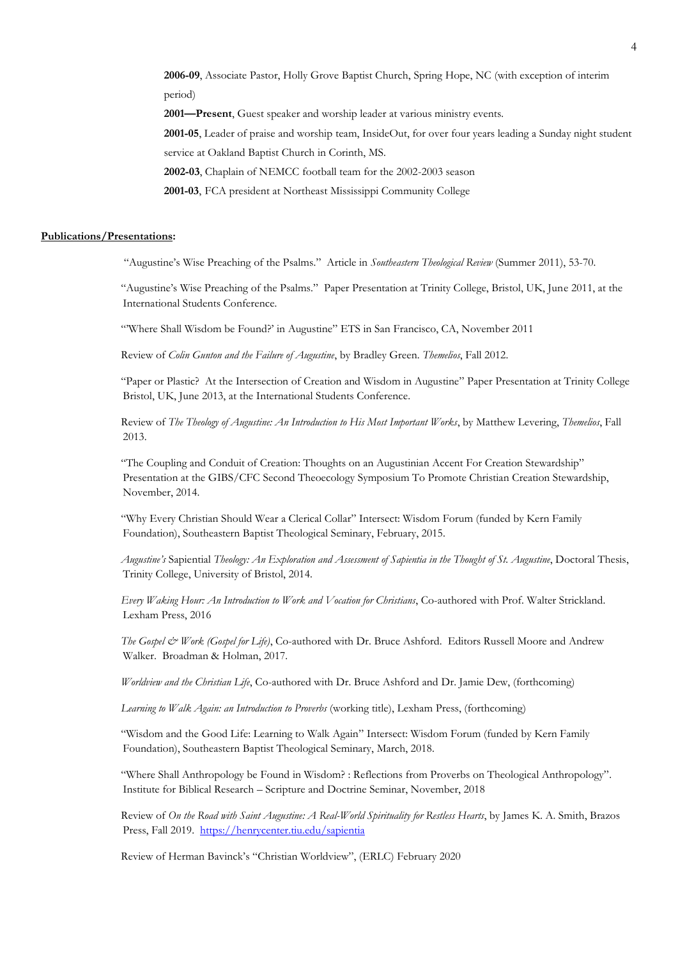**2006-09**, Associate Pastor, Holly Grove Baptist Church, Spring Hope, NC (with exception of interim period)

**2001—Present**, Guest speaker and worship leader at various ministry events.

**2001-05**, Leader of praise and worship team, InsideOut, for over four years leading a Sunday night student service at Oakland Baptist Church in Corinth, MS.

**2002-03**, Chaplain of NEMCC football team for the 2002-2003 season

**2001-03**, FCA president at Northeast Mississippi Community College

### **Publications/Presentations:**

"Augustine's Wise Preaching of the Psalms." Article in *Southeastern Theological Review* (Summer 2011), 53-70.

"Augustine's Wise Preaching of the Psalms." Paper Presentation at Trinity College, Bristol, UK, June 2011, at the International Students Conference.

"Where Shall Wisdom be Found?' in Augustine" ETS in San Francisco, CA, November 2011

Review of *Colin Gunton and the Failure of Augustine*, by Bradley Green. *Themelios*, Fall 2012.

"Paper or Plastic? At the Intersection of Creation and Wisdom in Augustine" Paper Presentation at Trinity College Bristol, UK, June 2013, at the International Students Conference.

Review of *The Theology of Augustine: An Introduction to His Most Important Works*, by Matthew Levering, *Themelios*, Fall 2013.

"The Coupling and Conduit of Creation: Thoughts on an Augustinian Accent For Creation Stewardship" Presentation at the GIBS/CFC Second Theoecology Symposium To Promote Christian Creation Stewardship, November, 2014.

"Why Every Christian Should Wear a Clerical Collar" Intersect: Wisdom Forum (funded by Kern Family Foundation), Southeastern Baptist Theological Seminary, February, 2015.

*Augustine's* Sapiential *Theology: An Exploration and Assessment of Sapientia in the Thought of St. Augustine*, Doctoral Thesis, Trinity College, University of Bristol, 2014.

*Every Waking Hour: An Introduction to Work and Vocation for Christians*, Co-authored with Prof. Walter Strickland. Lexham Press, 2016

*The Gospel & Work (Gospel for Life)*, Co-authored with Dr. Bruce Ashford. Editors Russell Moore and Andrew Walker. Broadman & Holman, 2017.

*Worldview and the Christian Life*, Co-authored with Dr. Bruce Ashford and Dr. Jamie Dew, (forthcoming)

*Learning to Walk Again: an Introduction to Proverbs* (working title), Lexham Press, (forthcoming)

"Wisdom and the Good Life: Learning to Walk Again" Intersect: Wisdom Forum (funded by Kern Family Foundation), Southeastern Baptist Theological Seminary, March, 2018.

"Where Shall Anthropology be Found in Wisdom? : Reflections from Proverbs on Theological Anthropology". Institute for Biblical Research – Scripture and Doctrine Seminar, November, 2018

Review of *On the Road with Saint Augustine: A Real-World Spirituality for Restless Hearts*, by James K. A. Smith, Brazos Press, Fall 2019. <https://henrycenter.tiu.edu/sapientia>

Review of Herman Bavinck's "Christian Worldview", (ERLC) February 2020